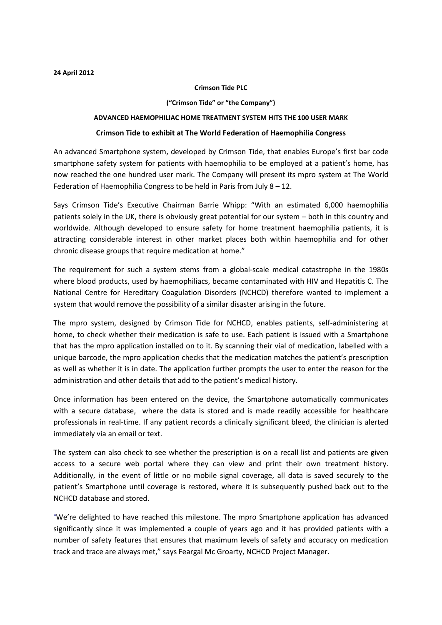#### **Crimson Tide PLC**

## **("Crimson Tide" or "the Company")**

#### **ADVANCED HAEMOPHILIAC HOME TREATMENT SYSTEM HITS THE 100 USER MARK**

#### **Crimson Tide to exhibit at The World Federation of Haemophilia Congress**

An advanced Smartphone system, developed by Crimson Tide, that enables Europe's first bar code smartphone safety system for patients with haemophilia to be employed at a patient's home, has now reached the one hundred user mark. The Company will present its mpro system at The World Federation of Haemophilia Congress to be held in Paris from July 8 – 12.

Says Crimson Tide's Executive Chairman Barrie Whipp: "With an estimated 6,000 haemophilia patients solely in the UK, there is obviously great potential for our system – both in this country and worldwide. Although developed to ensure safety for home treatment haemophilia patients, it is attracting considerable interest in other market places both within haemophilia and for other chronic disease groups that require medication at home."

The requirement for such a system stems from a global-scale medical catastrophe in the 1980s where blood products, used by haemophiliacs, became contaminated with HIV and Hepatitis C. The National Centre for Hereditary Coagulation Disorders (NCHCD) therefore wanted to implement a system that would remove the possibility of a similar disaster arising in the future.

The mpro system, designed by Crimson Tide for NCHCD, enables patients, self-administering at home, to check whether their medication is safe to use. Each patient is issued with a Smartphone that has the mpro application installed on to it. By scanning their vial of medication, labelled with a unique barcode, the mpro application checks that the medication matches the patient's prescription as well as whether it is in date. The application further prompts the user to enter the reason for the administration and other details that add to the patient's medical history.

Once information has been entered on the device, the Smartphone automatically communicates with a secure database, where the data is stored and is made readily accessible for healthcare professionals in real-time. If any patient records a clinically significant bleed, the clinician is alerted immediately via an email or text.

The system can also check to see whether the prescription is on a recall list and patients are given access to a secure web portal where they can view and print their own treatment history. Additionally, in the event of little or no mobile signal coverage, all data is saved securely to the patient's Smartphone until coverage is restored, where it is subsequently pushed back out to the NCHCD database and stored.

"We're delighted to have reached this milestone. The mpro Smartphone application has advanced significantly since it was implemented a couple of years ago and it has provided patients with a number of safety features that ensures that maximum levels of safety and accuracy on medication track and trace are always met," says Feargal Mc Groarty, NCHCD Project Manager.